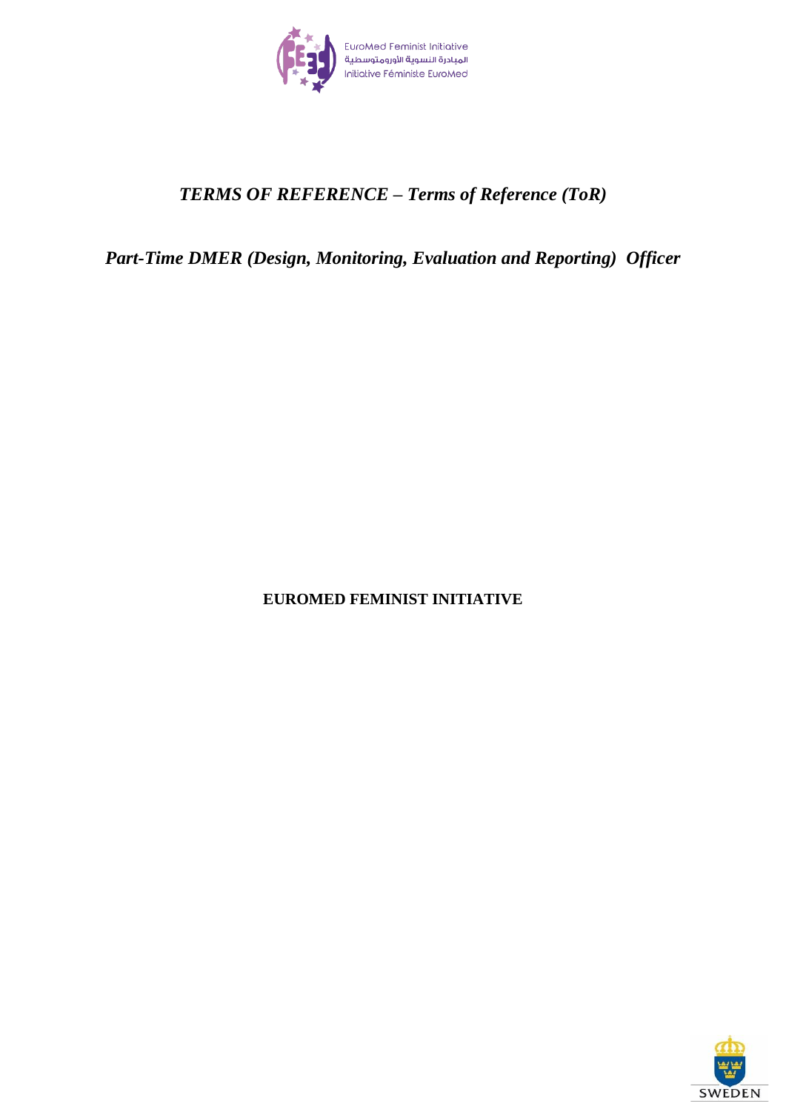

# *TERMS OF REFERENCE – Terms of Reference (ToR)*

*Part-Time DMER (Design, Monitoring, Evaluation and Reporting) Officer*

**EUROMED FEMINIST INITIATIVE**

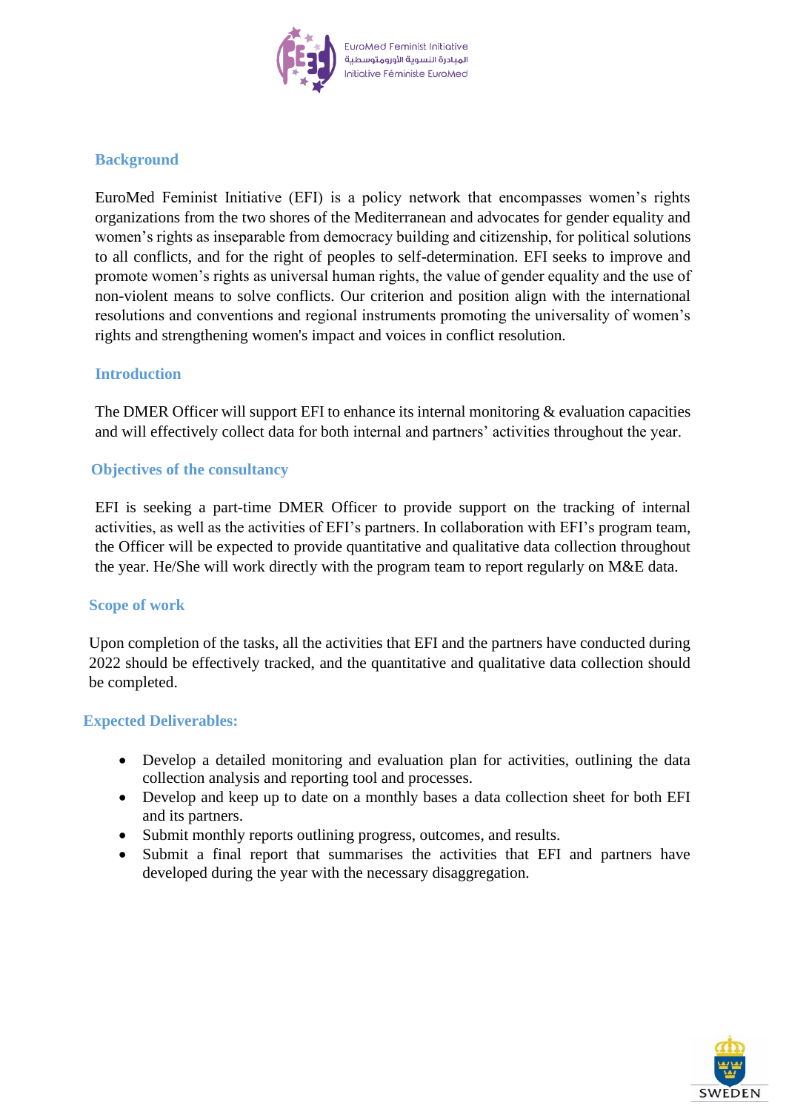

# **Background**

EuroMed Feminist Initiative (EFI) is a policy network that encompasses women's rights organizations from the two shores of the Mediterranean and advocates for gender equality and women's rights as inseparable from democracy building and citizenship, for political solutions to all conflicts, and for the right of peoples to self-determination. EFI seeks to improve and promote women's rights as universal human rights, the value of gender equality and the use of non-violent means to solve conflicts. Our criterion and position align with the international resolutions and conventions and regional instruments promoting the universality of women's rights and strengthening women's impact and voices in conflict resolution.

#### **Introduction**

The DMER Officer will support EFI to enhance its internal monitoring  $\&$  evaluation capacities and will effectively collect data for both internal and partners' activities throughout the year.

#### **Objectives of the consultancy**

EFI is seeking a part-time DMER Officer to provide support on the tracking of internal activities, as well as the activities of EFI's partners. In collaboration with EFI's program team, the Officer will be expected to provide quantitative and qualitative data collection throughout the year. He/She will work directly with the program team to report regularly on M&E data.

#### **Scope of work**

Upon completion of the tasks, all the activities that EFI and the partners have conducted during 2022 should be effectively tracked, and the quantitative and qualitative data collection should be completed.

#### **Expected Deliverables:**

- Develop a detailed monitoring and evaluation plan for activities, outlining the data collection analysis and reporting tool and processes.
- Develop and keep up to date on a monthly bases a data collection sheet for both EFI and its partners.
- Submit monthly reports outlining progress, outcomes, and results.
- Submit a final report that summarises the activities that EFI and partners have developed during the year with the necessary disaggregation.

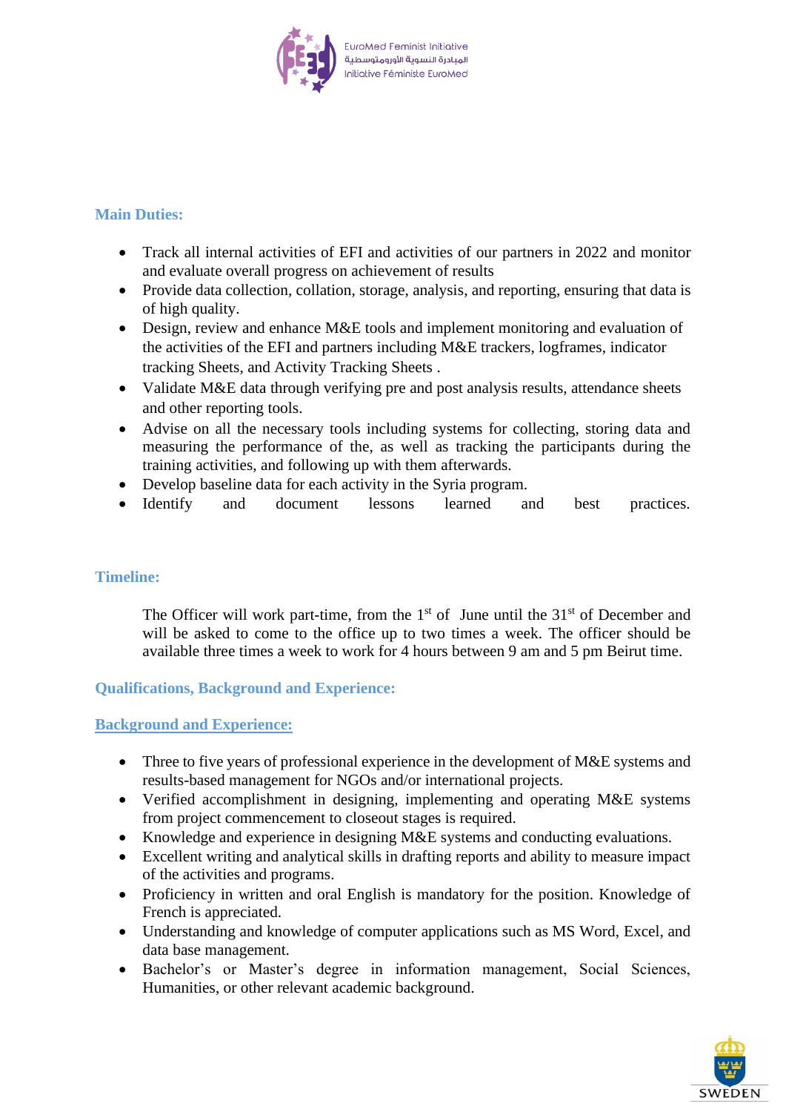

# **Main Duties:**

- Track all internal activities of EFI and activities of our partners in 2022 and monitor and evaluate overall progress on achievement of results
- Provide data collection, collation, storage, analysis, and reporting, ensuring that data is of high quality.
- Design, review and enhance M&E tools and implement monitoring and evaluation of the activities of the EFI and partners including M&E trackers, logframes, indicator tracking Sheets, and Activity Tracking Sheets .
- Validate M&E data through verifying pre and post analysis results, attendance sheets and other reporting tools.
- Advise on all the necessary tools including systems for collecting, storing data and measuring the performance of the, as well as tracking the participants during the training activities, and following up with them afterwards.
- Develop baseline data for each activity in the Syria program.
- Identify and document lessons learned and best practices.

# **Timeline:**

The Officer will work part-time, from the  $1<sup>st</sup>$  of June until the  $31<sup>st</sup>$  of December and will be asked to come to the office up to two times a week. The officer should be available three times a week to work for 4 hours between 9 am and 5 pm Beirut time.

# **Qualifications, Background and Experience:**

#### **Background and Experience:**

- Three to five years of professional experience in the development of M&E systems and results-based management for NGOs and/or international projects.
- Verified accomplishment in designing, implementing and operating M&E systems from project commencement to closeout stages is required.
- Knowledge and experience in designing M&E systems and conducting evaluations.
- Excellent writing and analytical skills in drafting reports and ability to measure impact of the activities and programs.
- Proficiency in written and oral English is mandatory for the position. Knowledge of French is appreciated.
- Understanding and knowledge of computer applications such as MS Word, Excel, and data base management.
- Bachelor's or Master's degree in information management, Social Sciences, Humanities, or other relevant academic background.